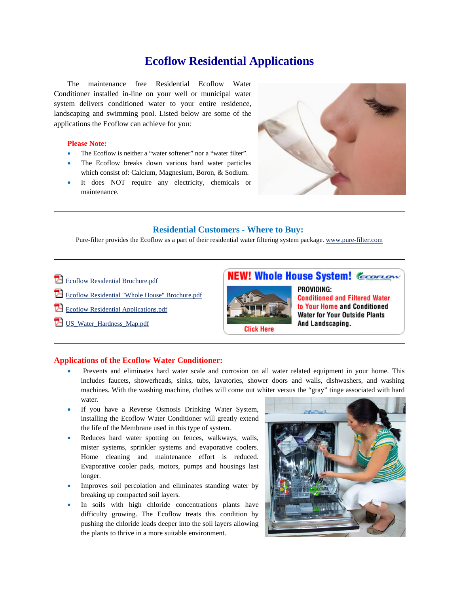## **Ecoflow Residential Applications**

The maintenance free Residential Ecoflow Water Conditioner installed in-line on your well or municipal water system delivers conditioned water to your entire residence, landscaping and swimming pool. Listed below are some of the applications the Ecoflow can achieve for you:

## **Please Note:**

- The Ecoflow is neither a "water softener" nor a "water filter".
- The Ecoflow breaks down various hard water particles which consist of: Calcium, Magnesium, Boron, & Sodium.
- It does NOT require any electricity, chemicals or maintenance.



## **Residential Customers - Where to Buy:**

Pure-filter provides the Ecoflow as a part of their residential water filtering system package. www.pure-filter.com

- **Ecoflow Residential Brochure.pdf**
- Ecoflow Residential "Whole House" Brochure.pdf
- Ecoflow Residential Applications.pdf
- US Water Hardness Map.pdf





PROVIDING: **Conditioned and Filtered Water** to Your Home and Conditioned **Water for Your Outside Plants** And Landscaping.

## **Applications of the Ecoflow Water Conditioner:**

- Prevents and eliminates hard water scale and corrosion on all water related equipment in your home. This includes faucets, showerheads, sinks, tubs, lavatories, shower doors and walls, dishwashers, and washing machines. With the washing machine, clothes will come out whiter versus the "gray" tinge associated with hard water.
- If you have a Reverse Osmosis Drinking Water System, installing the Ecoflow Water Conditioner will greatly extend the life of the Membrane used in this type of system.
- Reduces hard water spotting on fences, walkways, walls, mister systems, sprinkler systems and evaporative coolers. Home cleaning and maintenance effort is reduced. Evaporative cooler pads, motors, pumps and housings last longer.
- Improves soil percolation and eliminates standing water by breaking up compacted soil layers.
- In soils with high chloride concentrations plants have difficulty growing. The Ecoflow treats this condition by pushing the chloride loads deeper into the soil layers allowing the plants to thrive in a more suitable environment.